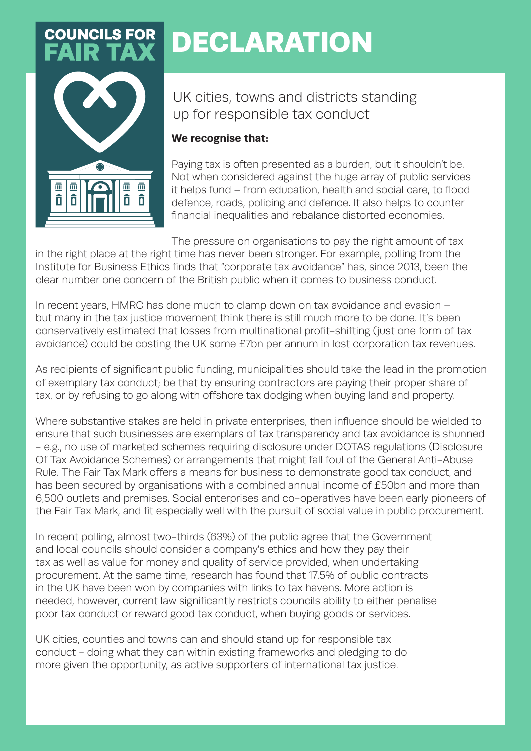## **COUNCILS FOR**



## DECLARATION

UK cities, towns and districts standing up for responsible tax conduct

## **We recognise that:**

Paying tax is often presented as a burden, but it shouldn't be. Not when considered against the huge array of public services it helps fund – from education, health and social care, to flood defence, roads, policing and defence. It also helps to counter financial inequalities and rebalance distorted economies.

The pressure on organisations to pay the right amount of tax in the right place at the right time has never been stronger. For example, polling from the Institute for Business Ethics finds that "corporate tax avoidance" has, since 2013, been the clear number one concern of the British public when it comes to business conduct.

In recent years, HMRC has done much to clamp down on tax avoidance and evasion – but many in the tax justice movement think there is still much more to be done. It's been conservatively estimated that losses from multinational profit-shifting (just one form of tax avoidance) could be costing the UK some £7bn per annum in lost corporation tax revenues.

As recipients of significant public funding, municipalities should take the lead in the promotion of exemplary tax conduct; be that by ensuring contractors are paying their proper share of tax, or by refusing to go along with offshore tax dodging when buying land and property.

Where substantive stakes are held in private enterprises, then influence should be wielded to ensure that such businesses are exemplars of tax transparency and tax avoidance is shunned - e.g., no use of marketed schemes requiring disclosure under DOTAS regulations (Disclosure Of Tax Avoidance Schemes) or arrangements that might fall foul of the General Anti-Abuse Rule. The Fair Tax Mark offers a means for business to demonstrate good tax conduct, and has been secured by organisations with a combined annual income of £50bn and more than 6,500 outlets and premises. Social enterprises and co-operatives have been early pioneers of the Fair Tax Mark, and fit especially well with the pursuit of social value in public procurement.

In recent polling, almost two-thirds (63%) of the public agree that the Government and local councils should consider a company's ethics and how they pay their tax as well as value for money and quality of service provided, when undertaking procurement. At the same time, research has found that 17.5% of public contracts in the UK have been won by companies with links to tax havens. More action is needed, however, current law significantly restricts councils ability to either penalise poor tax conduct or reward good tax conduct, when buying goods or services.

UK cities, counties and towns can and should stand up for responsible tax conduct - doing what they can within existing frameworks and pledging to do more given the opportunity, as active supporters of international tax justice.